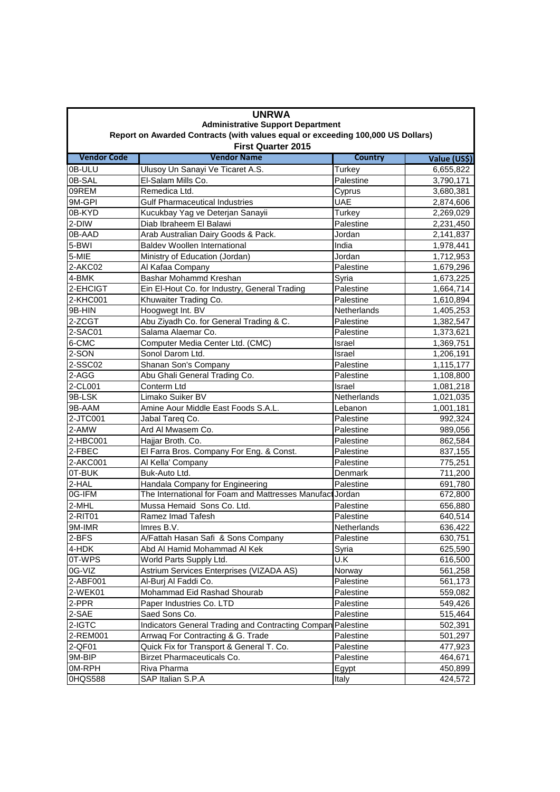| <b>UNRWA</b>                                                                                                 |                                                             |                |              |  |  |  |
|--------------------------------------------------------------------------------------------------------------|-------------------------------------------------------------|----------------|--------------|--|--|--|
| <b>Administrative Support Department</b>                                                                     |                                                             |                |              |  |  |  |
| Report on Awarded Contracts (with values equal or exceeding 100,000 US Dollars)<br><b>First Quarter 2015</b> |                                                             |                |              |  |  |  |
| <b>Vendor Code</b>                                                                                           | <b>Vendor Name</b>                                          | <b>Country</b> | Value (US\$) |  |  |  |
| 0B-ULU                                                                                                       | Ulusoy Un Sanayi Ve Ticaret A.S.                            | Turkey         | 6,655,822    |  |  |  |
| 0B-SAL                                                                                                       | El-Salam Mills Co.                                          | Palestine      | 3,790,171    |  |  |  |
| 09REM                                                                                                        | Remedica Ltd.                                               | Cyprus         | 3,680,381    |  |  |  |
| 9M-GPI                                                                                                       | <b>Gulf Pharmaceutical Industries</b>                       | <b>UAE</b>     | 2,874,606    |  |  |  |
| 0B-KYD                                                                                                       | Kucukbay Yag ve Deterjan Sanayii                            | Turkey         | 2,269,029    |  |  |  |
| 2-DIW                                                                                                        | Diab Ibraheem El Balawi                                     | Palestine      | 2,231,450    |  |  |  |
| 0B-AAD                                                                                                       | Arab Australian Dairy Goods & Pack.                         | Jordan         | 2,141,837    |  |  |  |
| 5-BWI                                                                                                        | <b>Baldev Woollen International</b>                         | India          | 1,978,441    |  |  |  |
| 5-MIE                                                                                                        | Ministry of Education (Jordan)                              | Jordan         | 1,712,953    |  |  |  |
| 2-AKC02                                                                                                      | Al Kafaa Company                                            | Palestine      | 1,679,296    |  |  |  |
| 4-BMK                                                                                                        | Bashar Mohammd Kreshan                                      | Syria          | 1,673,225    |  |  |  |
| 2-EHCIGT                                                                                                     | Ein El-Hout Co. for Industry, General Trading               | Palestine      | 1,664,714    |  |  |  |
| 2-KHC001                                                                                                     | Khuwaiter Trading Co.                                       | Palestine      | 1,610,894    |  |  |  |
| 9B-HIN                                                                                                       | Hoogwegt Int. BV                                            | Netherlands    | 1,405,253    |  |  |  |
| 2-ZCGT                                                                                                       | Abu Ziyadh Co. for General Trading & C.                     | Palestine      | 1,382,547    |  |  |  |
| 2-SAC01                                                                                                      | Salama Alaemar Co.                                          | Palestine      | 1,373,621    |  |  |  |
| 6-CMC                                                                                                        | Computer Media Center Ltd. (CMC)                            | Israel         | 1,369,751    |  |  |  |
| 2-SON                                                                                                        | Sonol Darom Ltd.                                            | Israel         | 1,206,191    |  |  |  |
| 2-SSC02                                                                                                      | Shanan Son's Company                                        | Palestine      | 1,115,177    |  |  |  |
| 2-AGG                                                                                                        | Abu Ghali General Trading Co.                               | Palestine      | 1,108,800    |  |  |  |
| 2-CL001                                                                                                      | Conterm Ltd                                                 | Israel         | 1,081,218    |  |  |  |
| 9B-LSK                                                                                                       | Limako Suiker BV                                            | Netherlands    | 1,021,035    |  |  |  |
| 9B-AAM                                                                                                       | Amine Aour Middle East Foods S.A.L.                         | Lebanon        | 1,001,181    |  |  |  |
| 2-JTC001                                                                                                     | Jabal Tareq Co.                                             | Palestine      | 992,324      |  |  |  |
| 2-AMW                                                                                                        | Ard Al Mwasem Co.                                           | Palestine      | 989,056      |  |  |  |
| 2-HBC001                                                                                                     | Hajjar Broth. Co.                                           | Palestine      | 862,584      |  |  |  |
| 2-FBEC                                                                                                       | El Farra Bros. Company For Eng. & Const.                    | Palestine      | 837,155      |  |  |  |
| 2-AKC001                                                                                                     | Al Kella' Company                                           | Palestine      | 775,251      |  |  |  |
| 0T-BUK                                                                                                       | Buk-Auto Ltd.                                               | Denmark        | 711,200      |  |  |  |
| 2-HAL                                                                                                        | Handala Company for Engineering                             | Palestine      | 691,780      |  |  |  |
| 0G-IFM                                                                                                       | The International for Foam and Mattresses Manufact Jordan   |                | 672,800      |  |  |  |
| 2-MHL                                                                                                        | Mussa Hemaid Sons Co. Ltd.                                  | Palestine      | 656,880      |  |  |  |
| 2-RIT01                                                                                                      | Ramez Imad Tafesh                                           | Palestine      | 640,514      |  |  |  |
| 9M-IMR                                                                                                       | Imres B.V.                                                  | Netherlands    | 636,422      |  |  |  |
| 2-BFS                                                                                                        | A/Fattah Hasan Safi & Sons Company                          | Palestine      | 630,751      |  |  |  |
| 4-HDK                                                                                                        | Abd Al Hamid Mohammad Al Kek                                | Syria          | 625,590      |  |  |  |
| 0T-WPS                                                                                                       | World Parts Supply Ltd.                                     | U.K            | 616,500      |  |  |  |
| 0G-VIZ                                                                                                       | Astrium Services Enterprises (VIZADA AS)                    | Norway         | 561,258      |  |  |  |
| 2-ABF001                                                                                                     | Al-Burj Al Faddi Co.                                        | Palestine      | 561,173      |  |  |  |
| 2-WEK01                                                                                                      | Mohammad Eid Rashad Shourab                                 | Palestine      | 559,082      |  |  |  |
| 2-PPR                                                                                                        | Paper Industries Co. LTD                                    | Palestine      | 549,426      |  |  |  |
| 2-SAE                                                                                                        | Saed Sons Co.                                               | Palestine      | 515,464      |  |  |  |
| 2-IGTC                                                                                                       | Indicators General Trading and Contracting Compan Palestine |                | 502,391      |  |  |  |
| 2-REM001                                                                                                     | Arrwaq For Contracting & G. Trade                           | Palestine      | 501,297      |  |  |  |
| 2-QF01                                                                                                       | Quick Fix for Transport & General T. Co.                    | Palestine      | 477,923      |  |  |  |
| 9M-BIP                                                                                                       | Birzet Pharmaceuticals Co.                                  | Palestine      | 464,671      |  |  |  |
| 0M-RPH                                                                                                       | Riva Pharma                                                 | Egypt          | 450,899      |  |  |  |
| 0HQS588                                                                                                      | SAP Italian S.P.A                                           | Italy          | 424,572      |  |  |  |
|                                                                                                              |                                                             |                |              |  |  |  |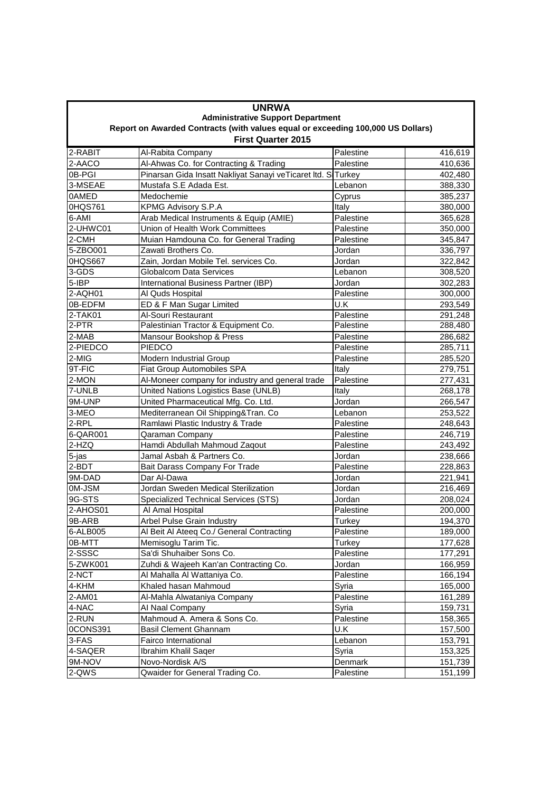|                                                                                                              | <b>UNRWA</b>                                                |               |         |  |  |  |
|--------------------------------------------------------------------------------------------------------------|-------------------------------------------------------------|---------------|---------|--|--|--|
| <b>Administrative Support Department</b>                                                                     |                                                             |               |         |  |  |  |
| Report on Awarded Contracts (with values equal or exceeding 100,000 US Dollars)<br><b>First Quarter 2015</b> |                                                             |               |         |  |  |  |
| 2-RABIT                                                                                                      | Al-Rabita Company                                           | Palestine     | 416,619 |  |  |  |
| 2-AACO                                                                                                       | Al-Ahwas Co. for Contracting & Trading                      | Palestine     | 410,636 |  |  |  |
| 0B-PGI                                                                                                       | Pinarsan Gida Insatt Nakliyat Sanayi veTicaret Itd. STurkey |               | 402,480 |  |  |  |
| 3-MSEAE                                                                                                      | Mustafa S.E Adada Est.                                      | Lebanon       | 388,330 |  |  |  |
| 0AMED                                                                                                        | Medochemie                                                  | Cyprus        | 385,237 |  |  |  |
| 0HQS761                                                                                                      | <b>KPMG Advisory S.P.A</b>                                  | Italy         | 380,000 |  |  |  |
| 6-AMI                                                                                                        | Arab Medical Instruments & Equip (AMIE)                     | Palestine     | 365,628 |  |  |  |
| 2-UHWC01                                                                                                     | Union of Health Work Committees                             | Palestine     | 350,000 |  |  |  |
| 2-CMH                                                                                                        | Muian Hamdouna Co. for General Trading                      | Palestine     | 345,847 |  |  |  |
| 5-ZBO001                                                                                                     | Zawati Brothers Co.                                         | Jordan        | 336,797 |  |  |  |
| 0HQS667                                                                                                      | Zain, Jordan Mobile Tel. services Co.                       | Jordan        | 322,842 |  |  |  |
| 3-GDS                                                                                                        | <b>Globalcom Data Services</b>                              | Lebanon       | 308,520 |  |  |  |
| 5-IBP                                                                                                        | International Business Partner (IBP)                        | Jordan        | 302,283 |  |  |  |
| 2-AQH01                                                                                                      | Al Quds Hospital                                            | Palestine     | 300,000 |  |  |  |
| 0B-EDFM                                                                                                      | ED & F Man Sugar Limited                                    | U.K           | 293,549 |  |  |  |
| $2-TAK01$                                                                                                    | Al-Souri Restaurant                                         | Palestine     | 291,248 |  |  |  |
| $2-PTR$                                                                                                      | Palestinian Tractor & Equipment Co.                         | Palestine     | 288,480 |  |  |  |
| 2-MAB                                                                                                        | Mansour Bookshop & Press                                    | Palestine     | 286,682 |  |  |  |
| 2-PIEDCO                                                                                                     | <b>PIEDCO</b>                                               | Palestine     | 285,711 |  |  |  |
| 2-MIG                                                                                                        | <b>Modern Industrial Group</b>                              | Palestine     | 285,520 |  |  |  |
| 9T-FIC                                                                                                       | <b>Fiat Group Automobiles SPA</b>                           | Italy         | 279,751 |  |  |  |
| 2-MON                                                                                                        | Al-Moneer company for industry and general trade            | Palestine     | 277,431 |  |  |  |
| 7-UNLB                                                                                                       | United Nations Logistics Base (UNLB)                        | Italy         | 268,178 |  |  |  |
| 9M-UNP                                                                                                       | United Pharmaceutical Mfg. Co. Ltd.                         | Jordan        | 266,547 |  |  |  |
| 3-MEO                                                                                                        | Mediterranean Oil Shipping&Tran. Co                         | Lebanon       | 253,522 |  |  |  |
| 2-RPL                                                                                                        | Ramlawi Plastic Industry & Trade                            | Palestine     | 248,643 |  |  |  |
| 6-QAR001                                                                                                     | Qaraman Company                                             | Palestine     | 246,719 |  |  |  |
| 2-HZQ                                                                                                        | Hamdi Abdullah Mahmoud Zaqout                               | Palestine     | 243,492 |  |  |  |
| 5-jas                                                                                                        | Jamal Asbah & Partners Co.                                  | Jordan        | 238,666 |  |  |  |
| 2-BDT                                                                                                        | Bait Darass Company For Trade                               | Palestine     | 228,863 |  |  |  |
| 9M-DAD                                                                                                       | Dar Al-Dawa                                                 | Jordan        | 221,941 |  |  |  |
| 0M-JSM                                                                                                       | Jordan Sweden Medical Sterilization                         | Jordan        | 216,469 |  |  |  |
| 9G-STS                                                                                                       | Specialized Technical Services (STS)                        | Jordan        | 208,024 |  |  |  |
| 2-AHOS01                                                                                                     | Al Amal Hospital                                            | Palestine     | 200,000 |  |  |  |
| 9B-ARB                                                                                                       | Arbel Pulse Grain Industry                                  | <b>Turkey</b> | 194,370 |  |  |  |
| 6-ALB005                                                                                                     | Al Beit Al Ateeq Co./ General Contracting                   | Palestine     | 189,000 |  |  |  |
| 0B-MTT                                                                                                       | Memisoglu Tarim Tic.                                        | Turkey        | 177,628 |  |  |  |
| 2-SSSC                                                                                                       | Sa'di Shuhaiber Sons Co.                                    | Palestine     | 177,291 |  |  |  |
| 5-ZWK001                                                                                                     | Zuhdi & Wajeeh Kan'an Contracting Co.                       | Jordan        | 166,959 |  |  |  |
| 2-NCT                                                                                                        | Al Mahalla Al Wattaniya Co.                                 | Palestine     | 166,194 |  |  |  |
| 4-KHM                                                                                                        | Khaled hasan Mahmoud                                        | Syria         | 165,000 |  |  |  |
| 2-AM01                                                                                                       | Al-Mahla Alwataniya Company                                 | Palestine     | 161,289 |  |  |  |
| 4-NAC                                                                                                        | Al Naal Company                                             | Syria         | 159,731 |  |  |  |
| 2-RUN                                                                                                        | Mahmoud A. Amera & Sons Co.                                 | Palestine     | 158,365 |  |  |  |
| 0CONS391                                                                                                     | <b>Basil Clement Ghannam</b>                                | U.K           | 157,500 |  |  |  |
| 3-FAS                                                                                                        | Fairco International                                        | Lebanon       | 153,791 |  |  |  |
| 4-SAQER                                                                                                      | Ibrahim Khalil Saqer                                        | Syria         | 153,325 |  |  |  |
| 9M-NOV                                                                                                       | Novo-Nordisk A/S                                            | Denmark       | 151,739 |  |  |  |
| 2-QWS                                                                                                        | Qwaider for General Trading Co.                             | Palestine     | 151,199 |  |  |  |